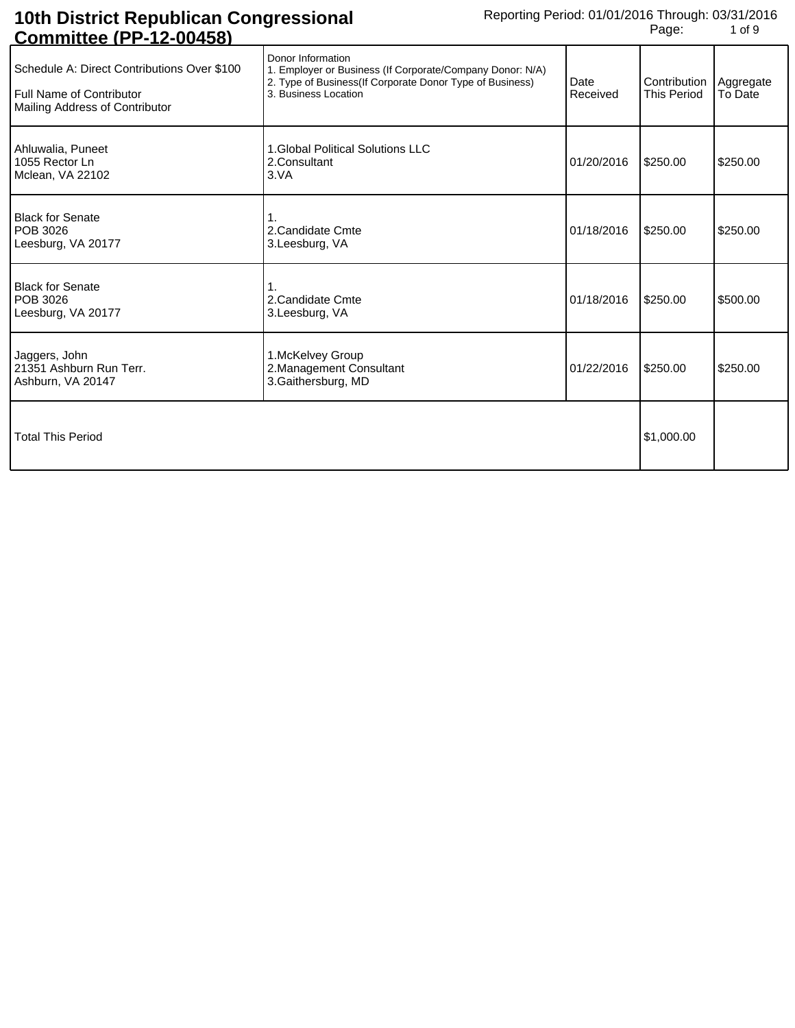| <u> COLINIIIUCE (1 1 - 12-00430)</u>                                                                             |                                                                                                                                                                    |                  |                                    |                      |
|------------------------------------------------------------------------------------------------------------------|--------------------------------------------------------------------------------------------------------------------------------------------------------------------|------------------|------------------------------------|----------------------|
| Schedule A: Direct Contributions Over \$100<br><b>Full Name of Contributor</b><br>Mailing Address of Contributor | Donor Information<br>1. Employer or Business (If Corporate/Company Donor: N/A)<br>2. Type of Business(If Corporate Donor Type of Business)<br>3. Business Location | Date<br>Received | Contribution<br><b>This Period</b> | Aggregate<br>To Date |
| Ahluwalia, Puneet<br>1055 Rector Ln<br>Mclean, VA 22102                                                          | 1.Global Political Solutions LLC<br>2. Consultant<br>3.VA                                                                                                          | 01/20/2016       | \$250.00                           | \$250.00             |
| <b>Black for Senate</b><br><b>POB 3026</b><br>Leesburg, VA 20177                                                 | 2. Candidate Cmte<br>3.Leesburg, VA                                                                                                                                | 01/18/2016       | \$250.00                           | \$250.00             |
| <b>Black for Senate</b><br>POB 3026<br>Leesburg, VA 20177                                                        | 2. Candidate Cmte<br>3. Leesburg, VA                                                                                                                               | 01/18/2016       | \$250.00                           | \$500.00             |
| Jaggers, John<br>21351 Ashburn Run Terr.<br>Ashburn, VA 20147                                                    | 1. McKelvey Group<br>2. Management Consultant<br>3. Gaithersburg, MD                                                                                               | 01/22/2016       | \$250.00                           | \$250.00             |
| <b>Total This Period</b>                                                                                         |                                                                                                                                                                    |                  | \$1,000.00                         |                      |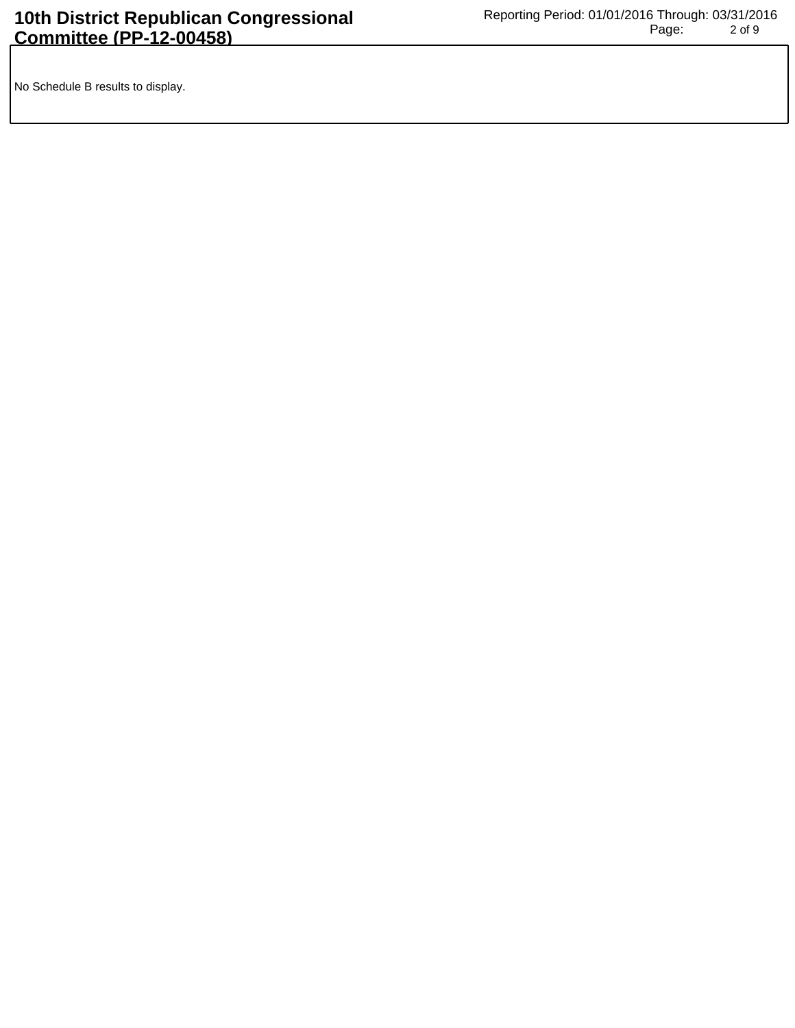No Schedule B results to display.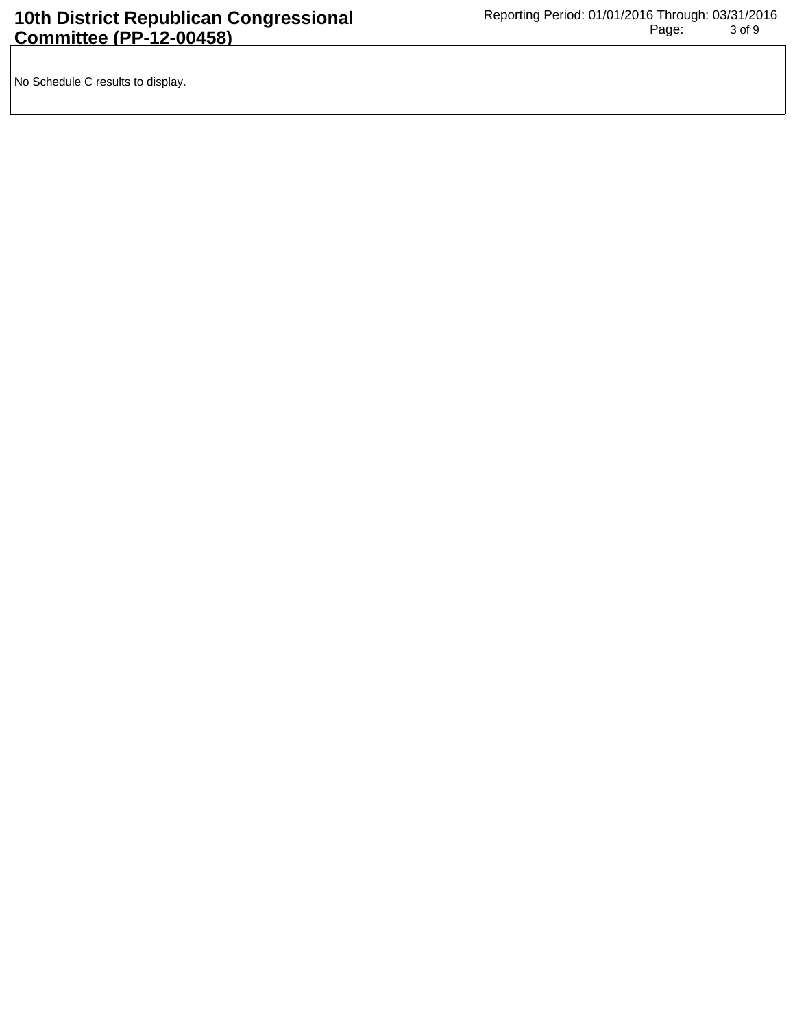No Schedule C results to display.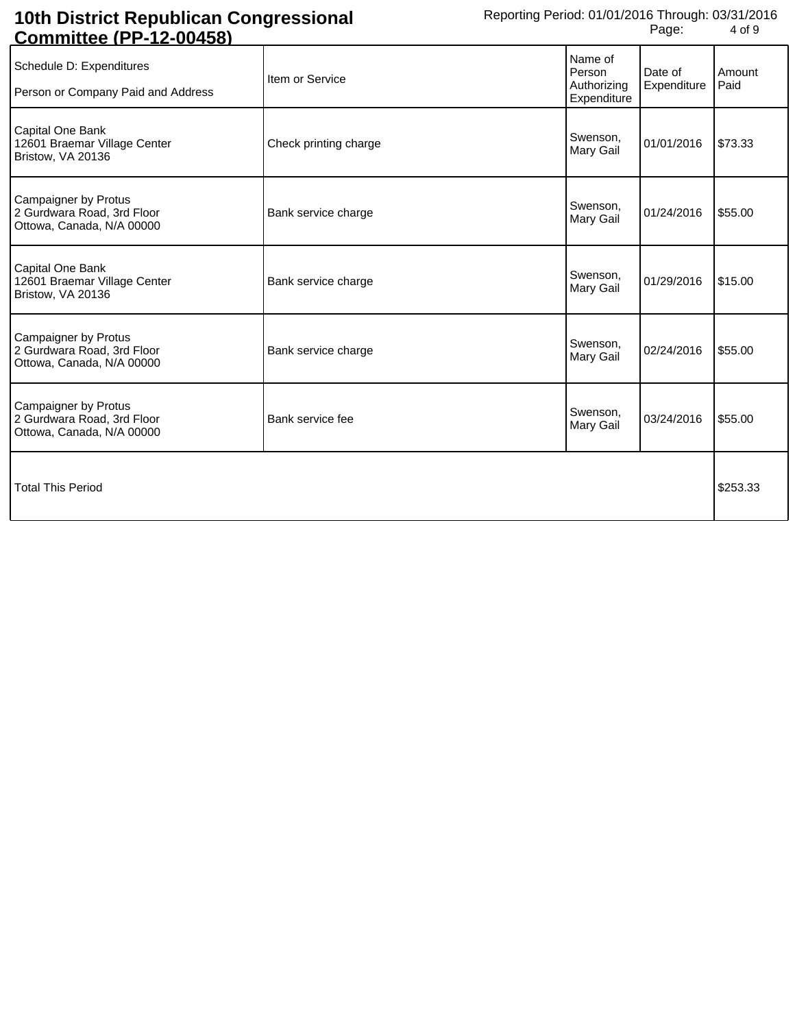| <u> COMMINIE (FF-12-00430)</u>                                                  |                       |                                                 |                        |                |
|---------------------------------------------------------------------------------|-----------------------|-------------------------------------------------|------------------------|----------------|
| Schedule D: Expenditures<br>Person or Company Paid and Address                  | Item or Service       | Name of<br>Person<br>Authorizing<br>Expenditure | Date of<br>Expenditure | Amount<br>Paid |
| Capital One Bank<br>12601 Braemar Village Center<br>Bristow, VA 20136           | Check printing charge | Swenson,<br>Mary Gail                           | 01/01/2016             | \$73.33        |
| Campaigner by Protus<br>2 Gurdwara Road, 3rd Floor<br>Ottowa, Canada, N/A 00000 | Bank service charge   | Swenson,<br>Mary Gail                           | 01/24/2016             | \$55.00        |
| Capital One Bank<br>12601 Braemar Village Center<br>Bristow, VA 20136           | Bank service charge   | Swenson,<br>Mary Gail                           | 01/29/2016             | \$15.00        |
| Campaigner by Protus<br>2 Gurdwara Road, 3rd Floor<br>Ottowa, Canada, N/A 00000 | Bank service charge   | Swenson,<br>Mary Gail                           | 02/24/2016             | \$55.00        |
| Campaigner by Protus<br>2 Gurdwara Road, 3rd Floor<br>Ottowa, Canada, N/A 00000 | Bank service fee      | Swenson,<br>Mary Gail                           | 03/24/2016             | \$55.00        |
| <b>Total This Period</b>                                                        |                       |                                                 |                        | \$253.33       |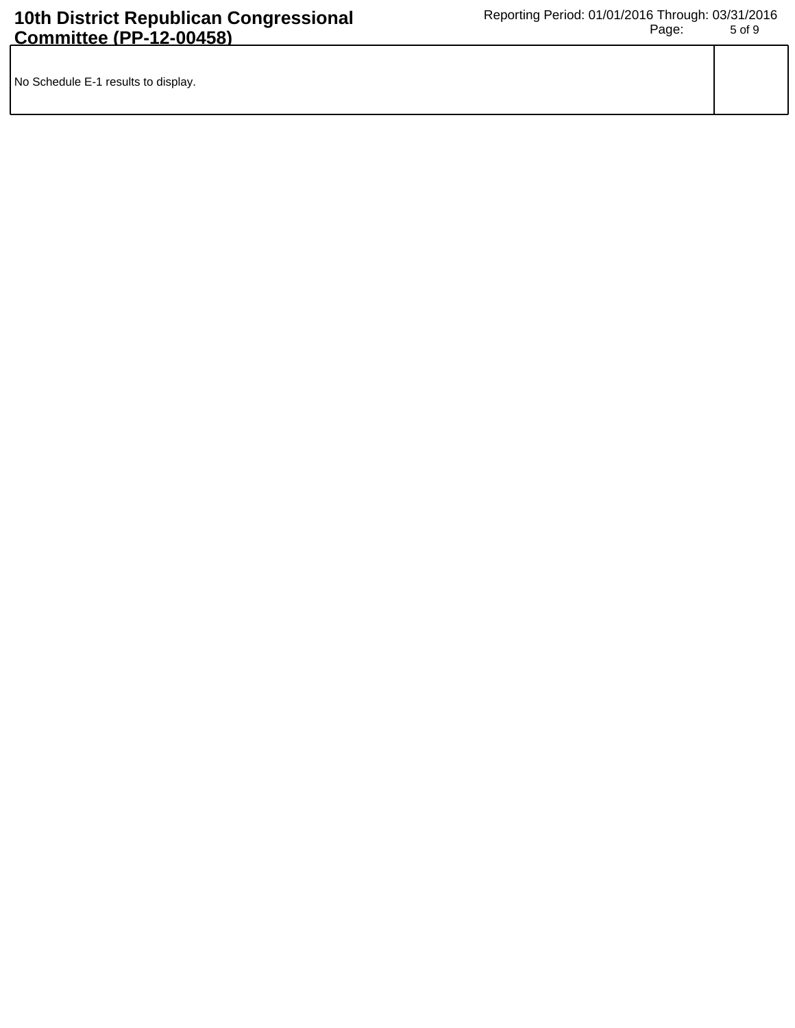| No Schedule E-1 results to display. |  |
|-------------------------------------|--|
|                                     |  |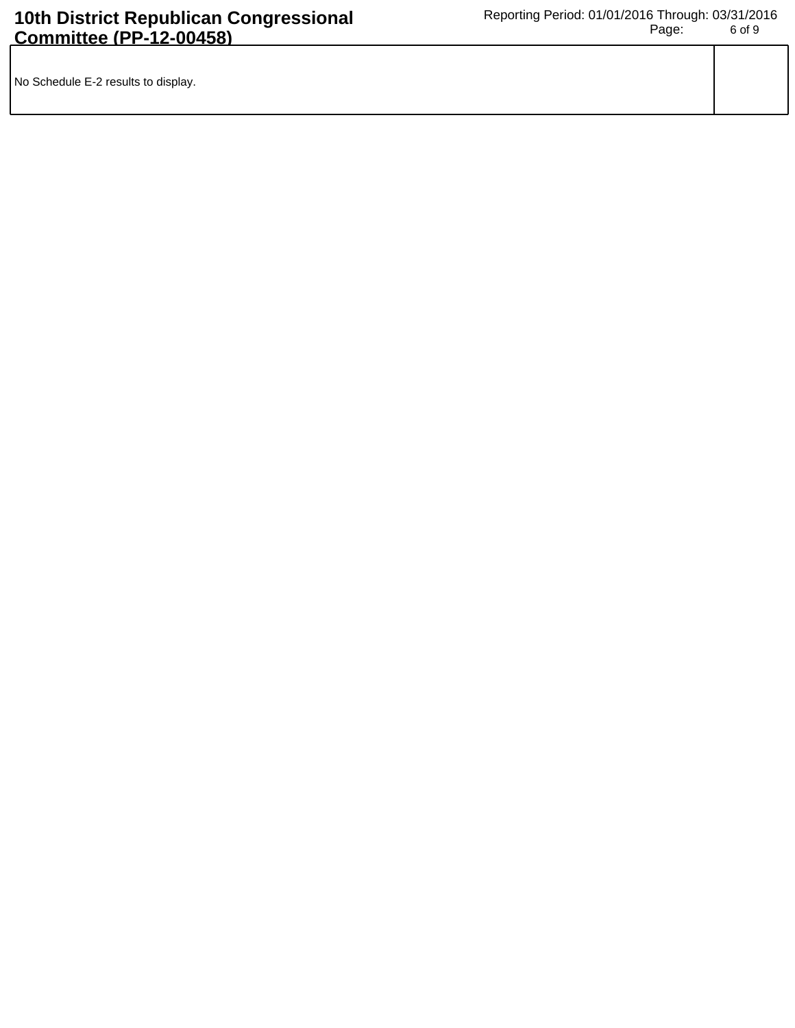| No Schedule E-2 results to display. |  |
|-------------------------------------|--|
|                                     |  |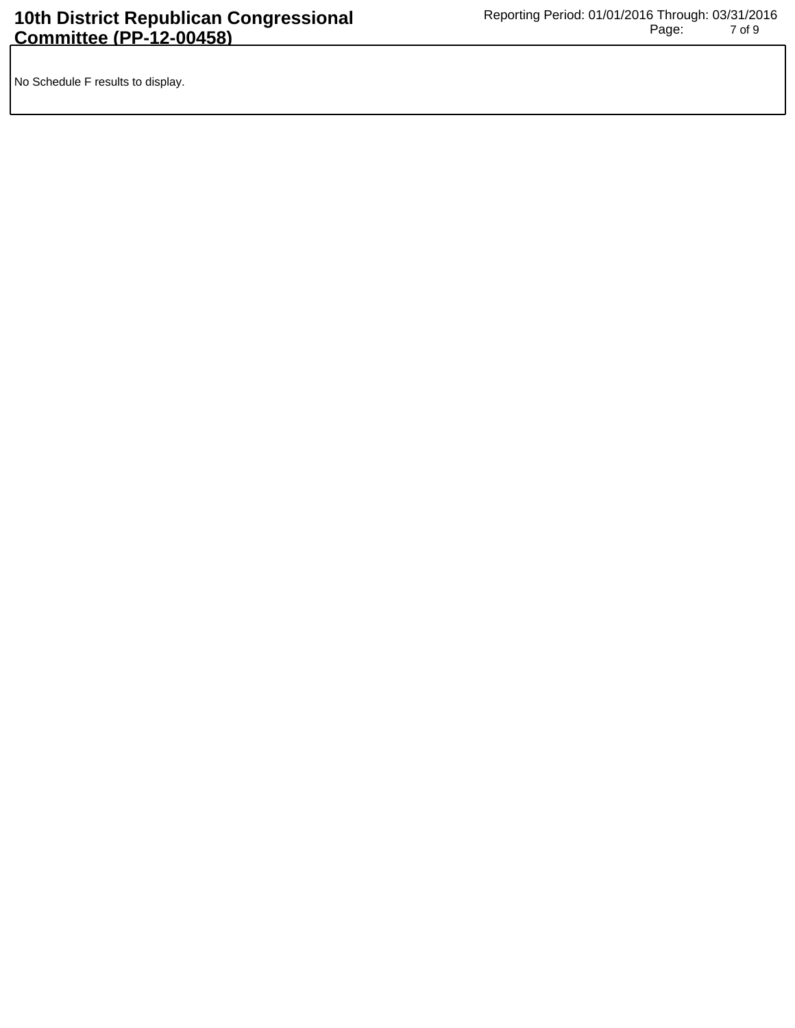No Schedule F results to display.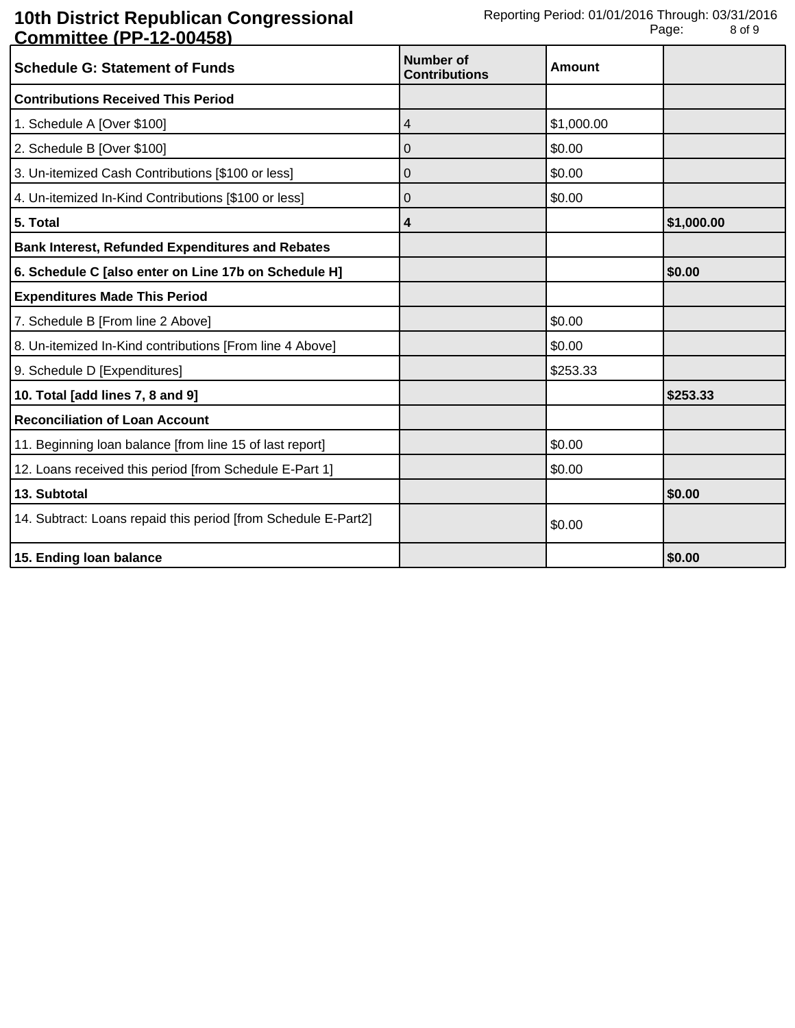| <u> Sommutos (f. 1250–100</u><br><b>Schedule G: Statement of Funds</b> | Number of<br><b>Contributions</b> | <b>Amount</b> |            |
|------------------------------------------------------------------------|-----------------------------------|---------------|------------|
| <b>Contributions Received This Period</b>                              |                                   |               |            |
| 1. Schedule A [Over \$100]                                             | 4                                 | \$1,000.00    |            |
| 2. Schedule B [Over \$100]                                             | 0                                 | \$0.00        |            |
| 3. Un-itemized Cash Contributions [\$100 or less]                      | 0                                 | \$0.00        |            |
| 4. Un-itemized In-Kind Contributions [\$100 or less]                   | 0                                 | \$0.00        |            |
| 5. Total                                                               | 4                                 |               | \$1,000.00 |
| <b>Bank Interest, Refunded Expenditures and Rebates</b>                |                                   |               |            |
| 6. Schedule C [also enter on Line 17b on Schedule H]                   |                                   |               | \$0.00     |
| <b>Expenditures Made This Period</b>                                   |                                   |               |            |
| 7. Schedule B [From line 2 Above]                                      |                                   | \$0.00        |            |
| 8. Un-itemized In-Kind contributions [From line 4 Above]               |                                   | \$0.00        |            |
| 9. Schedule D [Expenditures]                                           |                                   | \$253.33      |            |
| 10. Total [add lines 7, 8 and 9]                                       |                                   |               | \$253.33   |
| <b>Reconciliation of Loan Account</b>                                  |                                   |               |            |
| 11. Beginning loan balance [from line 15 of last report]               |                                   | \$0.00        |            |
| 12. Loans received this period [from Schedule E-Part 1]                |                                   | \$0.00        |            |
| 13. Subtotal                                                           |                                   |               | \$0.00     |
| 14. Subtract: Loans repaid this period [from Schedule E-Part2]         |                                   | \$0.00        |            |
| 15. Ending loan balance                                                |                                   |               | \$0.00     |